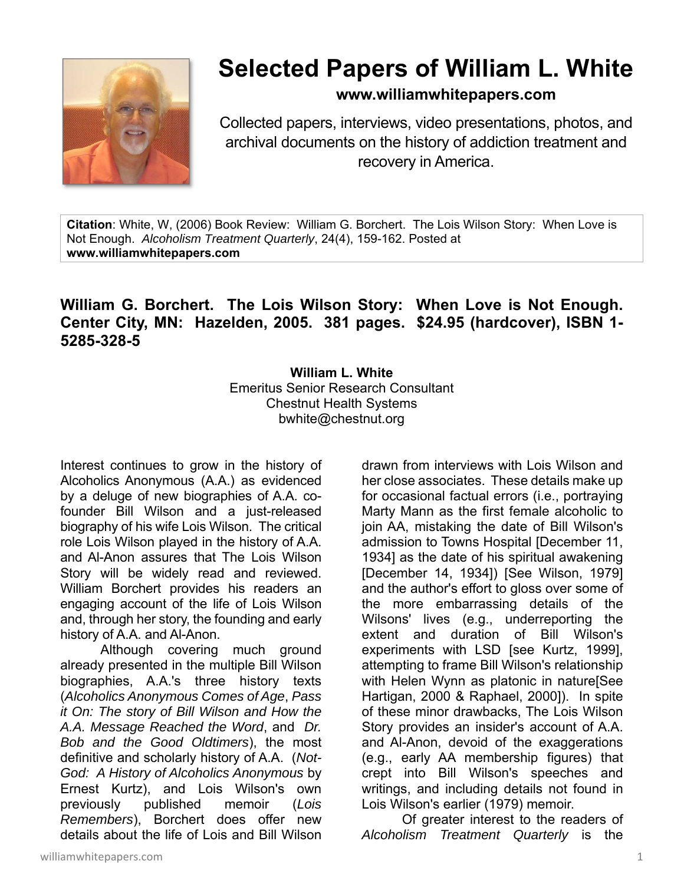

## **Selected Papers of William L. White**

**www.williamwhitepapers.com**

Collected papers, interviews, video presentations, photos, and archival documents on the history of addiction treatment and recovery in America.

**Citation**: White, W, (2006) Book Review: William G. Borchert. The Lois Wilson Story: When Love is Not Enough. *Alcoholism Treatment Quarterly*, 24(4), 159-162. Posted at **www.williamwhitepapers.com** 

## **William G. Borchert. The Lois Wilson Story: When Love is Not Enough. Center City, MN: Hazelden, 2005. 381 pages. \$24.95 (hardcover), ISBN 1- 5285-328-5**

**William L. White**  Emeritus Senior Research Consultant Chestnut Health Systems bwhite@chestnut.org

Interest continues to grow in the history of Alcoholics Anonymous (A.A.) as evidenced by a deluge of new biographies of A.A. cofounder Bill Wilson and a just-released biography of his wife Lois Wilson. The critical role Lois Wilson played in the history of A.A. and Al-Anon assures that The Lois Wilson Story will be widely read and reviewed. William Borchert provides his readers an engaging account of the life of Lois Wilson and, through her story, the founding and early history of A.A. and Al-Anon.

Although covering much ground already presented in the multiple Bill Wilson biographies, A.A.'s three history texts (*Alcoholics Anonymous Comes of Age*, *Pass it On: The story of Bill Wilson and How the A.A. Message Reached the Word*, and *Dr. Bob and the Good Oldtimers*), the most definitive and scholarly history of A.A. (*Not-God: A History of Alcoholics Anonymous* by Ernest Kurtz), and Lois Wilson's own previously published memoir (*Lois Remembers*), Borchert does offer new details about the life of Lois and Bill Wilson drawn from interviews with Lois Wilson and her close associates. These details make up for occasional factual errors (i.e., portraying Marty Mann as the first female alcoholic to join AA, mistaking the date of Bill Wilson's admission to Towns Hospital [December 11, 1934] as the date of his spiritual awakening [December 14, 1934]) [See Wilson, 1979] and the author's effort to gloss over some of the more embarrassing details of the Wilsons' lives (e.g., underreporting the extent and duration of Bill Wilson's experiments with LSD [see Kurtz, 1999], attempting to frame Bill Wilson's relationship with Helen Wynn as platonic in nature[See Hartigan, 2000 & Raphael, 2000]). In spite of these minor drawbacks, The Lois Wilson Story provides an insider's account of A.A. and Al-Anon, devoid of the exaggerations (e.g., early AA membership figures) that crept into Bill Wilson's speeches and writings, and including details not found in Lois Wilson's earlier (1979) memoir.

Of greater interest to the readers of *Alcoholism Treatment Quarterly* is the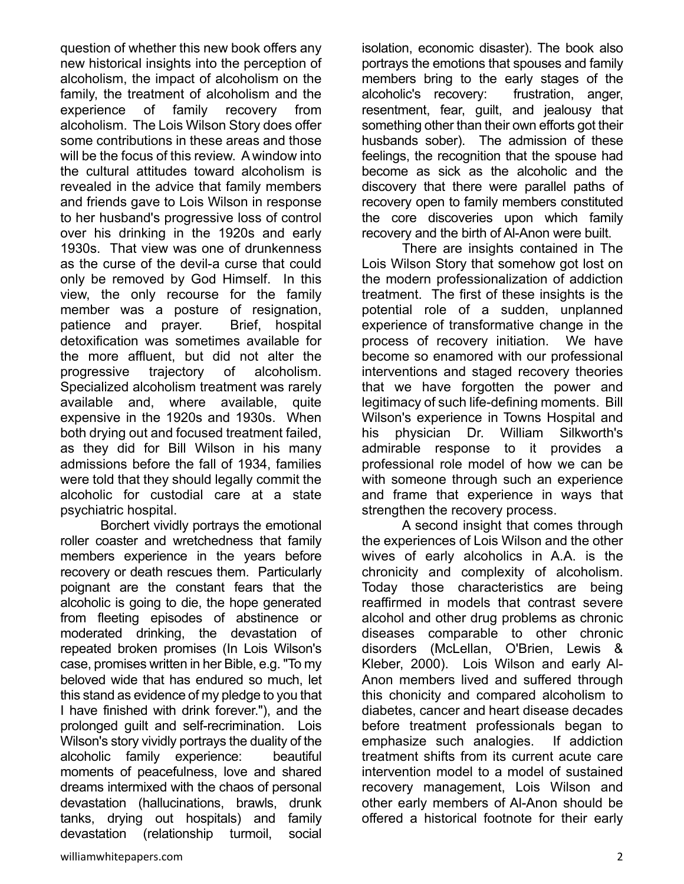question of whether this new book offers any new historical insights into the perception of alcoholism, the impact of alcoholism on the family, the treatment of alcoholism and the experience of family recovery from alcoholism. The Lois Wilson Story does offer some contributions in these areas and those will be the focus of this review. A window into the cultural attitudes toward alcoholism is revealed in the advice that family members and friends gave to Lois Wilson in response to her husband's progressive loss of control over his drinking in the 1920s and early 1930s. That view was one of drunkenness as the curse of the devil-a curse that could only be removed by God Himself. In this view, the only recourse for the family member was a posture of resignation, patience and prayer. Brief, hospital detoxification was sometimes available for the more affluent, but did not alter the progressive trajectory of alcoholism. Specialized alcoholism treatment was rarely available and, where available, quite expensive in the 1920s and 1930s. When both drying out and focused treatment failed, as they did for Bill Wilson in his many admissions before the fall of 1934, families were told that they should legally commit the alcoholic for custodial care at a state psychiatric hospital.

Borchert vividly portrays the emotional roller coaster and wretchedness that family members experience in the years before recovery or death rescues them. Particularly poignant are the constant fears that the alcoholic is going to die, the hope generated from fleeting episodes of abstinence or moderated drinking, the devastation of repeated broken promises (In Lois Wilson's case, promises written in her Bible, e.g. "To my beloved wide that has endured so much, let this stand as evidence of my pledge to you that I have finished with drink forever."), and the prolonged guilt and self-recrimination. Lois Wilson's story vividly portrays the duality of the alcoholic family experience: beautiful moments of peacefulness, love and shared dreams intermixed with the chaos of personal devastation (hallucinations, brawls, drunk tanks, drying out hospitals) and family devastation (relationship turmoil, social isolation, economic disaster). The book also portrays the emotions that spouses and family members bring to the early stages of the alcoholic's recovery: frustration, anger, resentment, fear, guilt, and jealousy that something other than their own efforts got their husbands sober). The admission of these feelings, the recognition that the spouse had become as sick as the alcoholic and the discovery that there were parallel paths of recovery open to family members constituted the core discoveries upon which family recovery and the birth of Al-Anon were built.

There are insights contained in The Lois Wilson Story that somehow got lost on the modern professionalization of addiction treatment. The first of these insights is the potential role of a sudden, unplanned experience of transformative change in the process of recovery initiation. We have become so enamored with our professional interventions and staged recovery theories that we have forgotten the power and legitimacy of such life-defining moments. Bill Wilson's experience in Towns Hospital and his physician Dr. William Silkworth's admirable response to it provides a professional role model of how we can be with someone through such an experience and frame that experience in ways that strengthen the recovery process.

A second insight that comes through the experiences of Lois Wilson and the other wives of early alcoholics in A.A. is the chronicity and complexity of alcoholism. Today those characteristics are being reaffirmed in models that contrast severe alcohol and other drug problems as chronic diseases comparable to other chronic disorders (McLellan, O'Brien, Lewis & Kleber, 2000). Lois Wilson and early Al-Anon members lived and suffered through this chonicity and compared alcoholism to diabetes, cancer and heart disease decades before treatment professionals began to emphasize such analogies. If addiction treatment shifts from its current acute care intervention model to a model of sustained recovery management, Lois Wilson and other early members of Al-Anon should be offered a historical footnote for their early